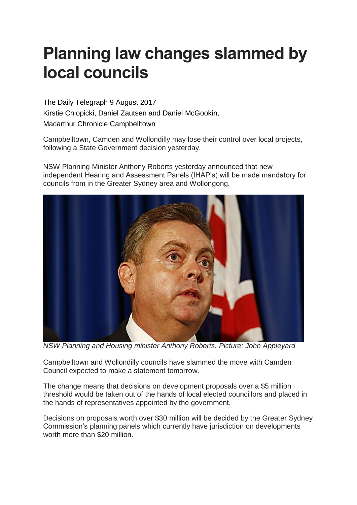## **Planning law changes slammed by local councils**

The Daily Telegraph 9 August 2017 Kirstie Chlopicki, Daniel Zautsen and Daniel McGookin, Macarthur Chronicle Campbelltown

Campbelltown, Camden and Wollondilly may lose their control over local projects, following a State Government decision yesterday.

NSW Planning Minister Anthony Roberts yesterday announced that new independent Hearing and Assessment Panels (IHAP's) will be made mandatory for councils from in the Greater Sydney area and Wollongong.



*NSW Planning and Housing minister Anthony Roberts. Picture: John Appleyard*

Campbelltown and Wollondilly councils have slammed the move with Camden Council expected to make a statement tomorrow.

The change means that decisions on development proposals over a \$5 million threshold would be taken out of the hands of local elected councillors and placed in the hands of representatives appointed by the government.

Decisions on proposals worth over \$30 million will be decided by the Greater Sydney Commission's planning panels which currently have jurisdiction on developments worth more than \$20 million.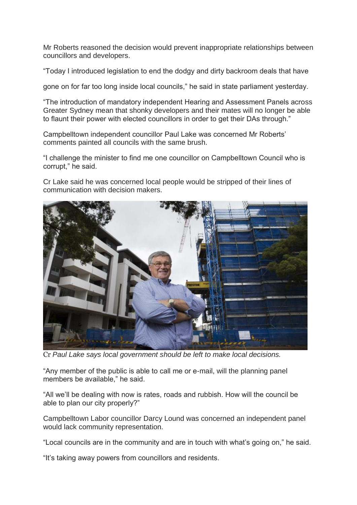Mr Roberts reasoned the decision would prevent inappropriate relationships between councillors and developers.

"Today I introduced legislation to end the dodgy and dirty backroom deals that have

gone on for far too long inside local councils," he said in state parliament yesterday.

"The introduction of mandatory independent Hearing and Assessment Panels across Greater Sydney mean that shonky developers and their mates will no longer be able to flaunt their power with elected councillors in order to get their DAs through."

Campbelltown independent councillor Paul Lake was concerned Mr Roberts' comments painted all councils with the same brush.

"I challenge the minister to find me one councillor on Campbelltown Council who is corrupt," he said.

Cr Lake said he was concerned local people would be stripped of their lines of communication with decision makers.



Cr *Paul Lake says local government should be left to make local decisions.*

"Any member of the public is able to call me or e-mail, will the planning panel members be available," he said.

"All we'll be dealing with now is rates, roads and rubbish. How will the council be able to plan our city properly?"

Campbelltown Labor councillor Darcy Lound was concerned an independent panel would lack community representation.

"Local councils are in the community and are in touch with what's going on," he said.

"It's taking away powers from councillors and residents.